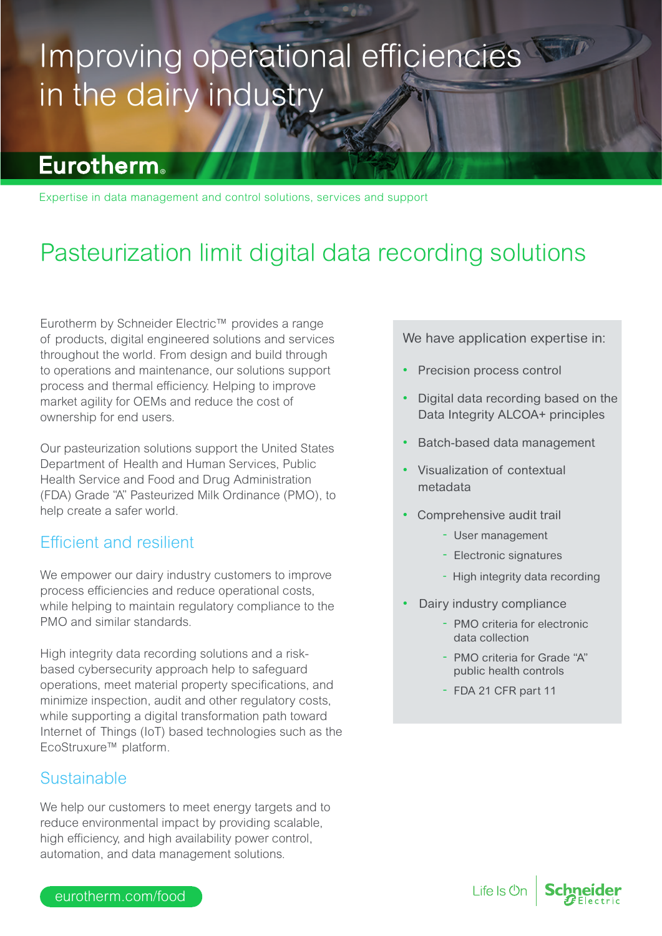# Improving operational efficiencies in the dairy industry

### **Eurotherm**

Expertise in data management and control solutions, services and support

## Pasteurization limit digital data recording solutions

Eurotherm by Schneider Electric™ provides a range of products, digital engineered solutions and services throughout the world. From design and build through to operations and maintenance, our solutions support process and thermal efficiency. Helping to improve market agility for OEMs and reduce the cost of ownership for end users.

Our pasteurization solutions support the United States Department of Health and Human Services, Public Health Service and Food and Drug Administration (FDA) Grade "A" Pasteurized Milk Ordinance (PMO), to help create a safer world.

### Efficient and resilient

We empower our dairy industry customers to improve process efficiencies and reduce operational costs, while helping to maintain regulatory compliance to the PMO and similar standards.

High integrity data recording solutions and a riskbased cybersecurity approach help to safeguard operations, meet material property specifications, and minimize inspection, audit and other regulatory costs, while supporting a digital transformation path toward Internet of Things (IoT) based technologies such as the EcoStruxure™ platform.

### **Sustainable**

We help our customers to meet energy targets and to reduce environmental impact by providing scalable, high efficiency, and high availability power control, automation, and data management solutions.

We have application expertise in:

- Precision process control
- Digital data recording based on the Data Integrity ALCOA+ principles
- Batch-based data management
- Visualization of contextual metadata
- Comprehensive audit trail
	- User management
	- Electronic signatures
	- High integrity data recording
- Dairy industry compliance
	- PMO criteria for electronic data collection
	- PMO criteria for Grade "A" public health controls
	- FDA 21 CFR part 11

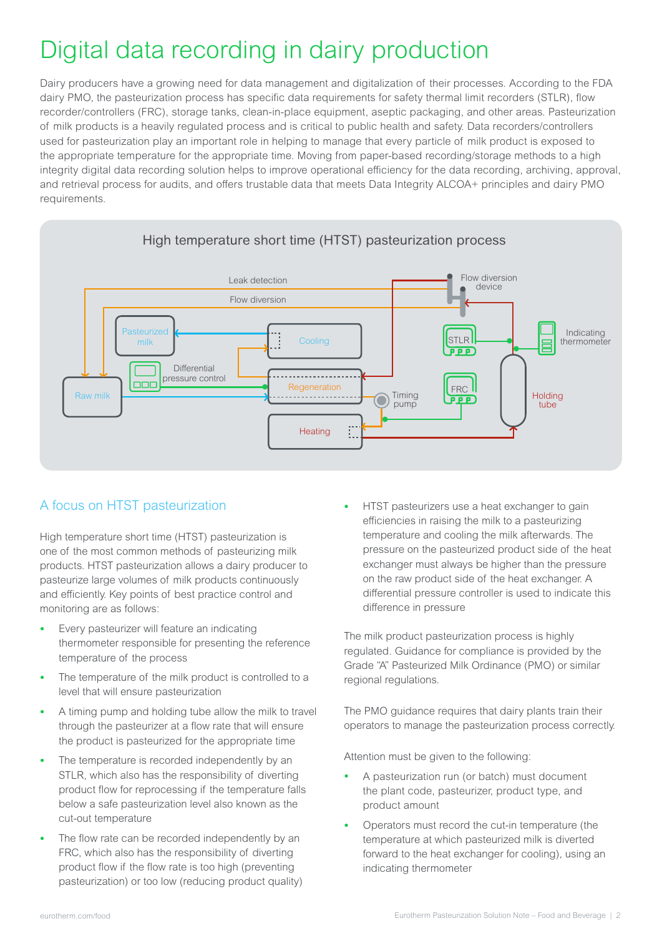## Digital data recording in dairy production

Dairy producers have a growing need for data management and digitalization of their processes. According to the FDA dairy PMO, the pasteurization process has specific data requirements for safety thermal limit recorders (STLR), flow recorder/controllers (FRC), storage tanks, clean-in-place equipment, aseptic packaging, and other areas. Pasteurization of milk products is a heavily regulated process and is critical to public health and safety. Data recorders/controllers used for pasteurization play an important role in helping to manage that every particle of milk product is exposed to the appropriate temperature for the appropriate time. Moving from paper-based recording/storage methods to a high integrity digital data recording solution helps to improve operational efficiency for the data recording, archiving, approval, and retrieval process for audits, and offers trustable data that meets Data Integrity ALCOA+ principles and dairy PMO requirements.



#### A focus on HTST pasteurization

High temperature short time (HTST) pasteurization is one of the most common methods of pasteurizing milk products. HTST pasteurization allows a dairy producer to pasteurize large volumes of milk products continuously and efficiently. Key points of best practice control and monitoring are as follows:

- Every pasteurizer will feature an indicating thermometer responsible for presenting the reference temperature of the process
- The temperature of the milk product is controlled to a level that will ensure pasteurization
- A timing pump and holding tube allow the milk to travel through the pasteurizer at a flow rate that will ensure the product is pasteurized for the appropriate time
- The temperature is recorded independently by an STLR, which also has the responsibility of diverting product flow for reprocessing if the temperature falls below a safe pasteurization level also known as the cut-out temperature
- The flow rate can be recorded independently by an FRC, which also has the responsibility of diverting product flow if the flow rate is too high (preventing pasteurization) or too low (reducing product quality)

• HTST pasteurizers use a heat exchanger to gain efficiencies in raising the milk to a pasteurizing temperature and cooling the milk afterwards. The pressure on the pasteurized product side of the heat exchanger must always be higher than the pressure on the raw product side of the heat exchanger. A differential pressure controller is used to indicate this difference in pressure

The milk product pasteurization process is highly regulated. Guidance for compliance is provided by the Grade "A" Pasteurized Milk Ordinance (PMO) or similar regional regulations.

The PMO guidance requires that dairy plants train their operators to manage the pasteurization process correctly.

Attention must be given to the following:

- A pasteurization run (or batch) must document the plant code, pasteurizer, product type, and product amount
- Operators must record the cut-in temperature (the temperature at which pasteurized milk is diverted forward to the heat exchanger for cooling), using an indicating thermometer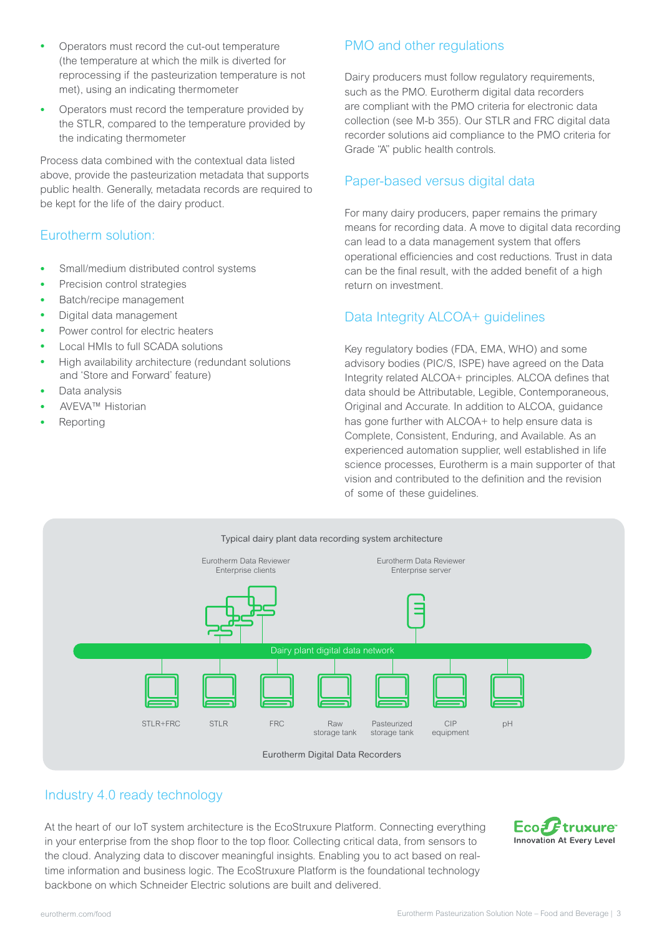- Operators must record the cut-out temperature (the temperature at which the milk is diverted for reprocessing if the pasteurization temperature is not met), using an indicating thermometer
- Operators must record the temperature provided by the STLR, compared to the temperature provided by the indicating thermometer

Process data combined with the contextual data listed above, provide the pasteurization metadata that supports public health. Generally, metadata records are required to be kept for the life of the dairy product.

#### Eurotherm solution:

- Small/medium distributed control systems
- Precision control strategies
- Batch/recipe management
- Digital data management
- Power control for electric heaters
- Local HMIs to full SCADA solutions
- High availability architecture (redundant solutions and 'Store and Forward' feature)
- Data analysis
- AVEVA™ Historian
- **Reporting**

#### PMO and other regulations

Dairy producers must follow regulatory requirements, such as the PMO. Eurotherm digital data recorders are compliant with the PMO criteria for electronic data collection (see M-b 355). Our STLR and FRC digital data recorder solutions aid compliance to the PMO criteria for Grade "A" public health controls.

#### Paper-based versus digital data

For many dairy producers, paper remains the primary means for recording data. A move to digital data recording can lead to a data management system that offers operational efficiencies and cost reductions. Trust in data can be the final result, with the added benefit of a high return on investment.

#### Data Integrity ALCOA+ guidelines

Key regulatory bodies (FDA, EMA, WHO) and some advisory bodies (PIC/S, ISPE) have agreed on the Data Integrity related ALCOA+ principles. ALCOA defines that data should be Attributable, Legible, Contemporaneous, Original and Accurate. In addition to ALCOA, guidance has gone further with ALCOA+ to help ensure data is Complete, Consistent, Enduring, and Available. As an experienced automation supplier, well established in life science processes, Eurotherm is a main supporter of that vision and contributed to the definition and the revision of some of these guidelines.



#### Industry 4.0 ready technology

At the heart of our IoT system architecture is the EcoStruxure Platform. Connecting everything in your enterprise from the shop floor to the top floor. Collecting critical data, from sensors to the cloud. Analyzing data to discover meaningful insights. Enabling you to act based on realtime information and business logic. The EcoStruxure Platform is the foundational technology backbone on which Schneider Electric solutions are built and delivered.